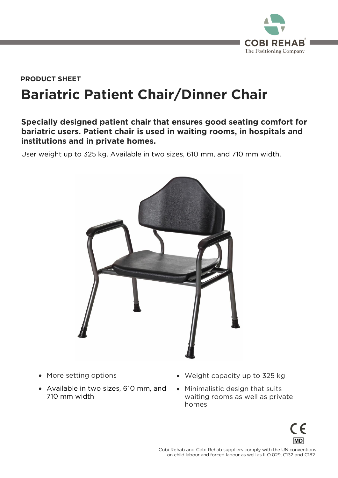

## **Bariatric Patient Chair/Dinner Chair PRODUCT SHEET**

## **Specially designed patient chair that ensures good seating comfort for bariatric users. Patient chair is used in waiting rooms, in hospitals and institutions and in private homes.**

User weight up to 325 kg. Available in two sizes, 610 mm, and 710 mm width.



- More setting options
- Available in two sizes, 610 mm, and 710 mm width
- Weight capacity up to 325 kg
- Minimalistic design that suits<br>waiting rooms as well as private homes homes



 $\frac{1}{2}$  conchild labour and forced labour as well as II 0.029 C132 and C182 on child labour and forced labour as well as ILO 029, C132 and C182.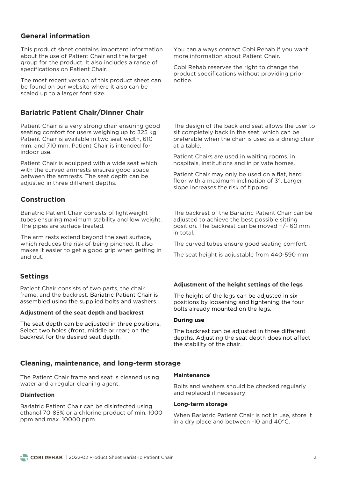## **General information**

This product sheet contains important information about the use of Patient Chair and the target group for the product. It also includes a range of specifications on Patient Chair. specifications on Patient Chair.

The most recent version of this product sheet can be found on our website where it also can be scaled up to a larger font size. scaled up to a larger font size.

## **Bariatric Patient Chair/Dinner Chair**

Patient Chair is a very strong chair ensuring good<br>seating comfort for users weighing up to 325 kg. Patient Chair is available in two seat width. 610 mm, and 710 mm. Patient Chair is intended for indoor use.

Patient Chair is equipped with a wide seat which<br>with the curved armrests ensures good space between the armrests. The seat depth can be adiusted in three different depths. adjusted in three different depths.

## **Construction**

Bariatric Patient Chair consists of lightweight<br>tubes ensuring maximum stability and low weight. The pipes are surface treated. The pipes are surface treated.

The arm rests extend beyond the seat surface, which reduces the risk of being pinched. It also makes it easier to get a good grip when getting in and out.

### **Settings**

Patient Chair consists of two parts, the chair<br>frame, and the backrest, Bariatric Patient Chair is assembled using the supplied bolts and washers. assembled using the supplied bolts and washers.

#### **Adjustment of the seat depth and backrest**

The seat depth can be adjusted in three positions.<br>Select two holes (front, middle or rear) on the backrest for the desired seat depth. backrest for the desired seat depth.

You can always contact Cobi Rehab if you want more information about Patient Chair. more information about Patient Chair.

Cobi Rehab reserves the right to change the product specifications without providing prior notice

The design of the back and seat allows the user to sit completely back in the seat, which can be preferable when the chair is used as a dining chair at a table.

hospitals institutions and in private homes hospitals, institutions and in private homes.

Patient Chair may only be used on a flat, hard<br>floor with a maximum inclination of 3°. Larger slope increases the risk of tinning slope increases the risk of tipping.

The backrest of the Bariatric Patient Chair can be adjusted to achieve the best possible sitting position. The backrest can be moved  $+/-$  60 mm in total.

The curved tubes ensure good seating comfort.

The seat height is adjustable from 440-590 mm.

#### **Adjustment of the height settings of the legs**

The height of the legs can be adjusted in six<br>positions by loosening and tightening the four bolts already mounted on the legs. bolts already mounted on the legs.

#### **During use**

The backrest can be adjusted in three different<br>depths. Adjusting the seat depth does not affect the stability of the chair. the stability of the chair.

#### **Cleaning, maintenance, and long-term storage**

The Patient Chair frame and seat is cleaned using water and a reqular cleaning agent. water and a regular cleaning agent.

#### **Disinfection**

Bariatric Patient Chair can be disinfected using<br>ethanol 70-85% or a chlorine product of min. 1000 ppm and max. 10000 ppm. ppm and max. 10000 ppm.

#### **Maintenance**

Bolts and maintiful should be checked regularly and replaced if necessary.

#### **Long-term storage**

When Bariatric Patient Chair is not in use, store it in a dry place and between -10 and 40°C. in a dry place and between -10 and 40°C.